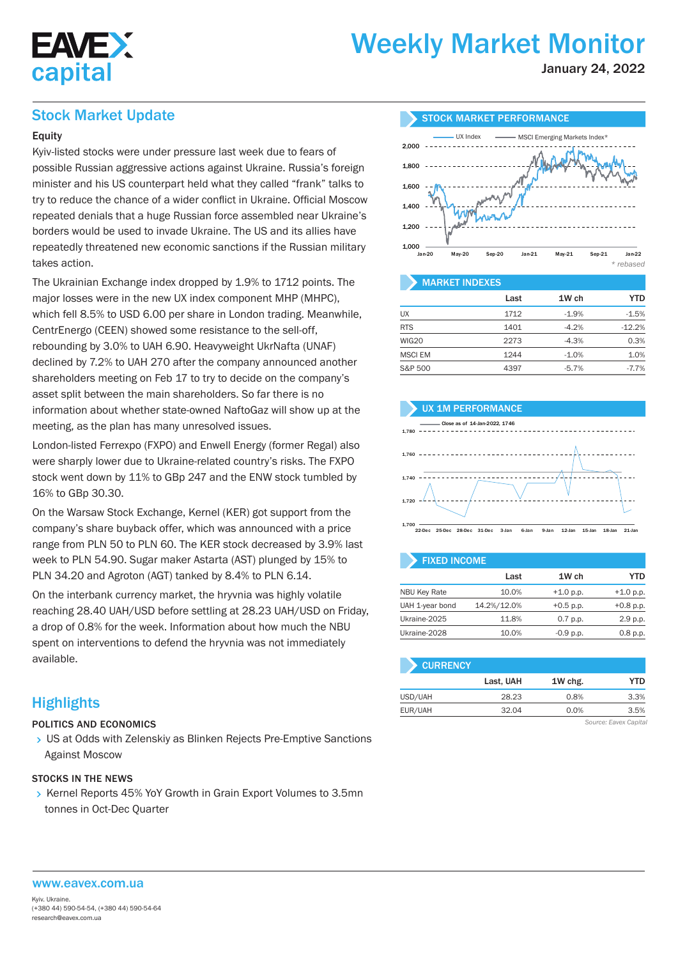

# Weekly Market Monitor

January 24, 2022

### Stock Market Update

#### **Equity**

Kyiv-listed stocks were under pressure last week due to fears of possible Russian aggressive actions against Ukraine. Russia's foreign minister and his US counterpart held what they called "frank" talks to try to reduce the chance of a wider conflict in Ukraine. Official Moscow repeated denials that a huge Russian force assembled near Ukraine's borders would be used to invade Ukraine. The US and its allies have repeatedly threatened new economic sanctions if the Russian military takes action.

The Ukrainian Exchange index dropped by 1.9% to 1712 points. The major losses were in the new UX index component MHP (MHPC), which fell 8.5% to USD 6.00 per share in London trading. Meanwhile, CentrEnergo (CEEN) showed some resistance to the sell-off, rebounding by 3.0% to UAH 6.90. Heavyweight UkrNafta (UNAF) declined by 7.2% to UAH 270 after the company announced another shareholders meeting on Feb 17 to try to decide on the company's asset split between the main shareholders. So far there is no information about whether state-owned NaftoGaz will show up at the meeting, as the plan has many unresolved issues.

London-listed Ferrexpo (FXPO) and Enwell Energy (former Regal) also were sharply lower due to Ukraine-related country's risks. The FXPO stock went down by 11% to GBp 247 and the ENW stock tumbled by 16% to GBp 30.30.

On the Warsaw Stock Exchange, Kernel (KER) got support from the company's share buyback offer, which was announced with a price range from PLN 50 to PLN 60. The KER stock decreased by 3.9% last week to PLN 54.90. Sugar maker Astarta (AST) plunged by 15% to PLN 34.20 and Agroton (AGT) tanked by 8.4% to PLN 6.14.

On the interbank currency market, the hryvnia was highly volatile reaching 28.40 UAH/USD before settling at 28.23 UAH/USD on Friday, a drop of 0.8% for the week. Information about how much the NBU spent on interventions to defend the hryvnia was not immediately available.

## **Highlights**

#### POLITICS AND ECONOMICS

> US at Odds with Zelenskiy as Blinken Rejects Pre-Emptive Sanctions Against Moscow

#### STOCKS IN THE NEWS

▶ Kernel Reports 45% YoY Growth in Grain Export Volumes to 3.5mn tonnes in Oct-Dec Quarter



#### Last 1W ch YTD  $UX$   $1712$   $-1.9\%$   $-1.5\%$ RTS 1401 -4.2% -12.2%  $WIG20$  2273  $-4.3\%$  0.3% MSCI EM 1244 -1.0% 1.0% S&P 500 4397 -5.7% -7.7%

#### UX 1M PERFORMANCE



1,700 22-Dec 25-Dec 28-Dec 31-Dec 3-Jan 6-Jan 9-Jan 12-Jan 15-Jan 18-Jan 21-Jan

| <b>FIXED INCOME</b> |             |             |             |  |  |  |  |  |  |  |
|---------------------|-------------|-------------|-------------|--|--|--|--|--|--|--|
|                     | Last        | 1W ch       | YTD         |  |  |  |  |  |  |  |
| <b>NBU Key Rate</b> | 10.0%       | $+1.0 p.p.$ | $+1.0$ p.p. |  |  |  |  |  |  |  |
| UAH 1-year bond     | 14.2%/12.0% | $+0.5$ p.p. | $+0.8$ p.p. |  |  |  |  |  |  |  |
| Ukraine-2025        | 11.8%       | $0.7$ p.p.  | 2.9 p.p.    |  |  |  |  |  |  |  |
| Ukraine-2028        | 10.0%       | $-0.9$ p.p. | 0.8 p.p.    |  |  |  |  |  |  |  |

| <b>CURRENCY</b> |           |         |      |
|-----------------|-----------|---------|------|
|                 | Last, UAH | 1W chg. | YTD  |
| USD/UAH         | 28.23     | 0.8%    | 3.3% |
| EUR/UAH         | 32.04     | 0.0%    | 3.5% |

*Source: Eavex Capital*

www.eavex.com.ua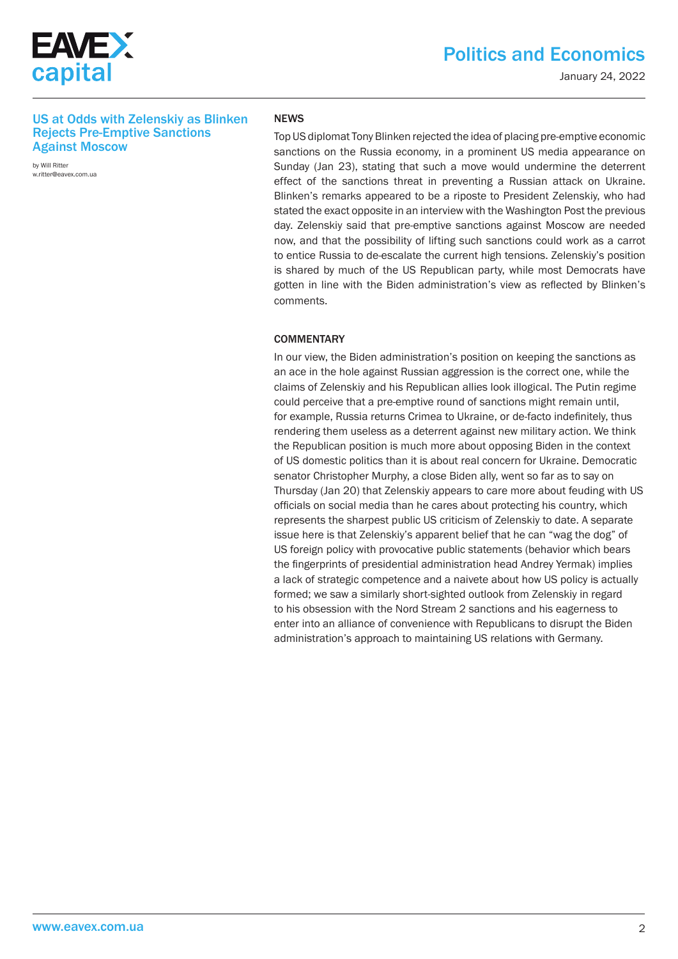

January 24, 2022

#### US at Odds with Zelenskiy as Blinken Rejects Pre-Emptive Sanctions Against Moscow

by Will Ritter w.ritter@eavex.com.ua

#### NEWS

Top US diplomat Tony Blinken rejected the idea of placing pre-emptive economic sanctions on the Russia economy, in a prominent US media appearance on Sunday (Jan 23), stating that such a move would undermine the deterrent effect of the sanctions threat in preventing a Russian attack on Ukraine. Blinken's remarks appeared to be a riposte to President Zelenskiy, who had stated the exact opposite in an interview with the Washington Post the previous day. Zelenskiy said that pre-emptive sanctions against Moscow are needed now, and that the possibility of lifting such sanctions could work as a carrot to entice Russia to de-escalate the current high tensions. Zelenskiy's position is shared by much of the US Republican party, while most Democrats have gotten in line with the Biden administration's view as reflected by Blinken's comments.

#### **COMMENTARY**

In our view, the Biden administration's position on keeping the sanctions as an ace in the hole against Russian aggression is the correct one, while the claims of Zelenskiy and his Republican allies look illogical. The Putin regime could perceive that a pre-emptive round of sanctions might remain until, for example, Russia returns Crimea to Ukraine, or de-facto indefinitely, thus rendering them useless as a deterrent against new military action. We think the Republican position is much more about opposing Biden in the context of US domestic politics than it is about real concern for Ukraine. Democratic senator Christopher Murphy, a close Biden ally, went so far as to say on Thursday (Jan 20) that Zelenskiy appears to care more about feuding with US officials on social media than he cares about protecting his country, which represents the sharpest public US criticism of Zelenskiy to date. A separate issue here is that Zelenskiy's apparent belief that he can "wag the dog" of US foreign policy with provocative public statements (behavior which bears the fingerprints of presidential administration head Andrey Yermak) implies a lack of strategic competence and a naivete about how US policy is actually formed; we saw a similarly short-sighted outlook from Zelenskiy in regard to his obsession with the Nord Stream 2 sanctions and his eagerness to enter into an alliance of convenience with Republicans to disrupt the Biden administration's approach to maintaining US relations with Germany.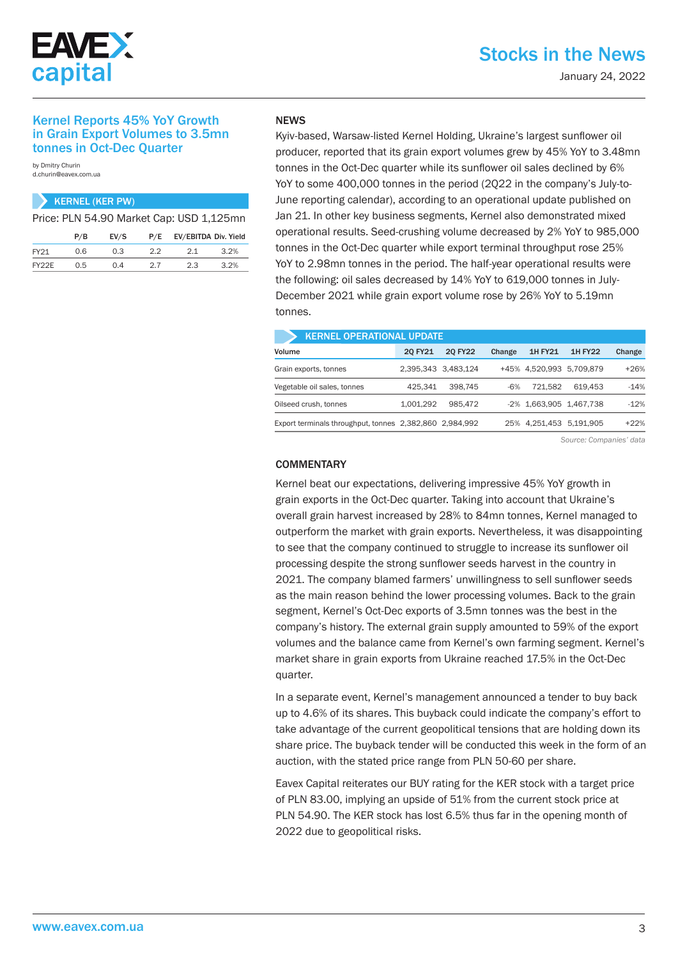

# Stocks in the News

January 24, 2022

#### Kernel Reports 45% YoY Growth in Grain Export Volumes to 3.5mn tonnes in Oct-Dec Quarter

by Dmitry Churin d.churin@eavex.com.ua

|       |     | <b>KERNEL (KER PW)</b> |     |                                          |      |
|-------|-----|------------------------|-----|------------------------------------------|------|
|       |     |                        |     | Price: PLN 54.90 Market Cap: USD 1,125mn |      |
|       | P/B | EV/S                   | P/E | EV/EBITDA Div. Yield                     |      |
| FY21  | 0.6 | 0.3                    | 22  | 2.1                                      | 3.2% |
| FY22E | 0.5 | 0.4                    | 27  | 2.3                                      | 3.2% |

#### **NFWS**

Kyiv-based, Warsaw-listed Kernel Holding, Ukraine's largest sunflower oil producer, reported that its grain export volumes grew by 45% YoY to 3.48mn tonnes in the Oct-Dec quarter while its sunflower oil sales declined by 6% YoY to some 400,000 tonnes in the period (2Q22 in the company's July-to-June reporting calendar), according to an operational update published on Jan 21. In other key business segments, Kernel also demonstrated mixed operational results. Seed-crushing volume decreased by 2% YoY to 985,000 tonnes in the Oct-Dec quarter while export terminal throughput rose 25% YoY to 2.98mn tonnes in the period. The half-year operational results were the following: oil sales decreased by 14% YoY to 619,000 tonnes in July-December 2021 while grain export volume rose by 26% YoY to 5.19mn tonnes.

| <b>KERNEL OPERATIONAL UPDATE</b>                        |           |                     |        |                |                          |        |  |  |  |  |  |  |
|---------------------------------------------------------|-----------|---------------------|--------|----------------|--------------------------|--------|--|--|--|--|--|--|
| Volume                                                  | 20 FY21   | 20 FY22             | Change | <b>1H FY21</b> | <b>1H FY22</b>           | Change |  |  |  |  |  |  |
| Grain exports, tonnes                                   |           | 2.395.343 3.483.124 |        |                | +45% 4.520.993 5.709.879 | $+26%$ |  |  |  |  |  |  |
| Vegetable oil sales, tonnes                             | 425.341   | 398.745             | $-6%$  | 721.582        | 619.453                  | $-14%$ |  |  |  |  |  |  |
| Oilseed crush, tonnes                                   | 1.001.292 | 985.472             |        |                | -2% 1.663.905 1.467.738  | $-12%$ |  |  |  |  |  |  |
| Export terminals throughput, tonnes 2,382,860 2,984,992 |           |                     |        |                | 25% 4.251.453 5.191.905  | $+22%$ |  |  |  |  |  |  |

*Source: Companies' data*

#### **COMMENTARY**

Kernel beat our expectations, delivering impressive 45% YoY growth in grain exports in the Oct-Dec quarter. Taking into account that Ukraine's overall grain harvest increased by 28% to 84mn tonnes, Kernel managed to outperform the market with grain exports. Nevertheless, it was disappointing to see that the company continued to struggle to increase its sunflower oil processing despite the strong sunflower seeds harvest in the country in 2021. The company blamed farmers' unwillingness to sell sunflower seeds as the main reason behind the lower processing volumes. Back to the grain segment, Kernel's Oct-Dec exports of 3.5mn tonnes was the best in the company's history. The external grain supply amounted to 59% of the export volumes and the balance came from Kernel's own farming segment. Kernel's market share in grain exports from Ukraine reached 17.5% in the Oct-Dec quarter.

In a separate event, Kernel's management announced a tender to buy back up to 4.6% of its shares. This buyback could indicate the company's effort to take advantage of the current geopolitical tensions that are holding down its share price. The buyback tender will be conducted this week in the form of an auction, with the stated price range from PLN 50-60 per share.

Eavex Capital reiterates our BUY rating for the KER stock with a target price of PLN 83.00, implying an upside of 51% from the current stock price at PLN 54.90. The KER stock has lost 6.5% thus far in the opening month of 2022 due to geopolitical risks.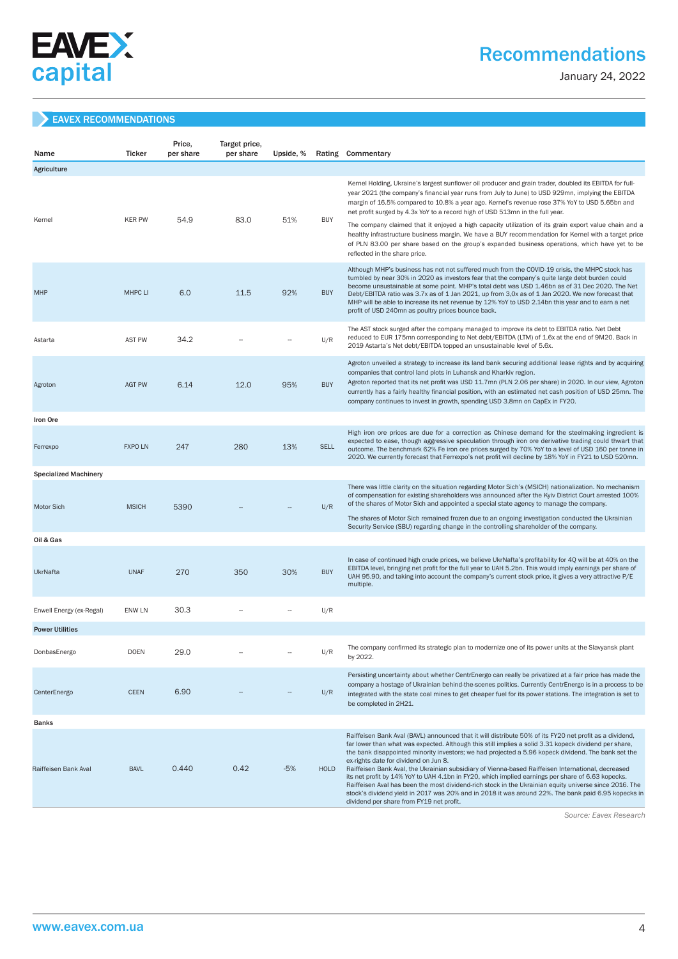

# Recommendations

January 24, 2022

#### EAVEX RECOMMENDATIONS

| Name                         | <b>Ticker</b>  | Price,<br>per share | Target price,<br>per share | Upside, % |             | Rating Commentary                                                                                                                                                                                                                                                                                                                                                                                                                                                                                                                                                                                                                                                                                                                                                                                                                        |
|------------------------------|----------------|---------------------|----------------------------|-----------|-------------|------------------------------------------------------------------------------------------------------------------------------------------------------------------------------------------------------------------------------------------------------------------------------------------------------------------------------------------------------------------------------------------------------------------------------------------------------------------------------------------------------------------------------------------------------------------------------------------------------------------------------------------------------------------------------------------------------------------------------------------------------------------------------------------------------------------------------------------|
| Agriculture                  |                |                     |                            |           |             |                                                                                                                                                                                                                                                                                                                                                                                                                                                                                                                                                                                                                                                                                                                                                                                                                                          |
|                              | <b>KER PW</b>  |                     | 83.0                       |           | <b>BUY</b>  | Kernel Holding, Ukraine's largest sunflower oil producer and grain trader, doubled its EBITDA for full-<br>year 2021 (the company's financial year runs from July to June) to USD 929mn, implying the EBITDA<br>margin of 16.5% compared to 10.8% a year ago. Kernel's revenue rose 37% YoY to USD 5.65bn and<br>net profit surged by 4.3x YoY to a record high of USD 513mn in the full year.                                                                                                                                                                                                                                                                                                                                                                                                                                           |
| Kernel                       |                | 54.9                |                            | 51%       |             | The company claimed that it enjoyed a high capacity utilization of its grain export value chain and a<br>healthy infrastructure business margin. We have a BUY recommendation for Kernel with a target price<br>of PLN 83.00 per share based on the group's expanded business operations, which have yet to be<br>reflected in the share price.                                                                                                                                                                                                                                                                                                                                                                                                                                                                                          |
| <b>MHP</b>                   | <b>MHPC LI</b> | 6.0                 | 11.5                       | 92%       | <b>BUY</b>  | Although MHP's business has not not suffered much from the COVID-19 crisis, the MHPC stock has<br>tumbled by near 30% in 2020 as investors fear that the company's quite large debt burden could<br>become unsustainable at some point. MHP's total debt was USD 1.46bn as of 31 Dec 2020. The Net<br>Debt/EBITDA ratio was 3.7x as of 1 Jan 2021, up from 3,0x as of 1 Jan 2020. We now forecast that<br>MHP will be able to increase its net revenue by 12% YoY to USD 2.14bn this year and to earn a net<br>profit of USD 240mn as poultry prices bounce back.                                                                                                                                                                                                                                                                        |
| Astarta                      | <b>AST PW</b>  | 34.2                |                            |           | U/R         | The AST stock surged after the company managed to improve its debt to EBITDA ratio. Net Debt<br>reduced to EUR 175mn corresponding to Net debt/EBITDA (LTM) of 1.6x at the end of 9M20. Back in<br>2019 Astarta's Net debt/EBITDA topped an unsustainable level of 5.6x.                                                                                                                                                                                                                                                                                                                                                                                                                                                                                                                                                                 |
| Agroton                      | <b>AGT PW</b>  | 6.14                | 12.0                       | 95%       | <b>BUY</b>  | Agroton unveiled a strategy to increase its land bank securing additional lease rights and by acquiring<br>companies that control land plots in Luhansk and Kharkiv region.<br>Agroton reported that its net profit was USD 11.7mn (PLN 2.06 per share) in 2020. In our view, Agroton<br>currently has a fairly healthy financial position, with an estimated net cash position of USD 25mn. The<br>company continues to invest in growth, spending USD 3.8mn on CapEx in FY20.                                                                                                                                                                                                                                                                                                                                                          |
| Iron Ore                     |                |                     |                            |           |             |                                                                                                                                                                                                                                                                                                                                                                                                                                                                                                                                                                                                                                                                                                                                                                                                                                          |
| Ferrexpo                     | <b>FXPO LN</b> | 247                 | 280                        | 13%       | <b>SELL</b> | High iron ore prices are due for a correction as Chinese demand for the steelmaking ingredient is<br>expected to ease, though aggressive speculation through iron ore derivative trading could thwart that<br>outcome. The benchmark 62% Fe iron ore prices surged by 70% YoY to a level of USD 160 per tonne in<br>2020. We currently forecast that Ferrexpo's net profit will decline by 18% YoY in FY21 to USD 520mn.                                                                                                                                                                                                                                                                                                                                                                                                                 |
| <b>Specialized Machinery</b> |                |                     |                            |           |             |                                                                                                                                                                                                                                                                                                                                                                                                                                                                                                                                                                                                                                                                                                                                                                                                                                          |
| <b>Motor Sich</b>            | <b>MSICH</b>   | 5390                |                            |           | U/R         | There was little clarity on the situation regarding Motor Sich's (MSICH) nationalization. No mechanism<br>of compensation for existing shareholders was announced after the Kyiv District Court arrested 100%<br>of the shares of Motor Sich and appointed a special state agency to manage the company.<br>The shares of Motor Sich remained frozen due to an ongoing investigation conducted the Ukrainian<br>Security Service (SBU) regarding change in the controlling shareholder of the company.                                                                                                                                                                                                                                                                                                                                   |
| Oil & Gas                    |                |                     |                            |           |             |                                                                                                                                                                                                                                                                                                                                                                                                                                                                                                                                                                                                                                                                                                                                                                                                                                          |
| <b>UkrNafta</b>              | <b>UNAF</b>    | 270                 | 350                        | 30%       | <b>BUY</b>  | In case of continued high crude prices, we believe UkrNafta's profitability for 4Q will be at 40% on the<br>EBITDA level, bringing net profit for the full year to UAH 5.2bn. This would imply earnings per share of<br>UAH 95.90, and taking into account the company's current stock price, it gives a very attractive P/E<br>multiple.                                                                                                                                                                                                                                                                                                                                                                                                                                                                                                |
| Enwell Energy (ex-Regal)     | <b>ENW LN</b>  | 30.3                |                            |           | U/R         |                                                                                                                                                                                                                                                                                                                                                                                                                                                                                                                                                                                                                                                                                                                                                                                                                                          |
| <b>Power Utilities</b>       |                |                     |                            |           |             |                                                                                                                                                                                                                                                                                                                                                                                                                                                                                                                                                                                                                                                                                                                                                                                                                                          |
| DonbasEnergo                 | <b>DOEN</b>    | 29.0                |                            |           | U/R         | The company confirmed its strategic plan to modernize one of its power units at the Slavyansk plant<br>by 2022.                                                                                                                                                                                                                                                                                                                                                                                                                                                                                                                                                                                                                                                                                                                          |
| CenterEnergo                 | <b>CEEN</b>    | 6.90                |                            |           | U/R         | Persisting uncertainty about whether CentrEnergo can really be privatized at a fair price has made the<br>company a hostage of Ukrainian behind-the-scenes politics. Currently CentrEnergo is in a process to be<br>integrated with the state coal mines to get cheaper fuel for its power stations. The integration is set to<br>be completed in 2H21.                                                                                                                                                                                                                                                                                                                                                                                                                                                                                  |
| <b>Banks</b>                 |                |                     |                            |           |             |                                                                                                                                                                                                                                                                                                                                                                                                                                                                                                                                                                                                                                                                                                                                                                                                                                          |
| Raiffeisen Bank Aval         | <b>BAVL</b>    | 0.440               | 0.42                       | $-5%$     | <b>HOLD</b> | Raiffeisen Bank Aval (BAVL) announced that it will distribute 50% of its FY20 net profit as a dividend,<br>far lower than what was expected. Although this still implies a solid 3.31 kopeck dividend per share,<br>the bank disappointed minority investors; we had projected a 5.96 kopeck dividend. The bank set the<br>ex-rights date for dividend on Jun 8.<br>Raiffeisen Bank Aval, the Ukrainian subsidiary of Vienna-based Raiffeisen International, decreased<br>its net profit by 14% YoY to UAH 4.1bn in FY20, which implied earnings per share of 6.63 kopecks.<br>Raiffeisen Aval has been the most dividend-rich stock in the Ukrainian equity universe since 2016. The<br>stock's dividend yield in 2017 was 20% and in 2018 it was around 22%. The bank paid 6.95 kopecks in<br>dividend per share from FY19 net profit. |

 *Source: Eavex Research*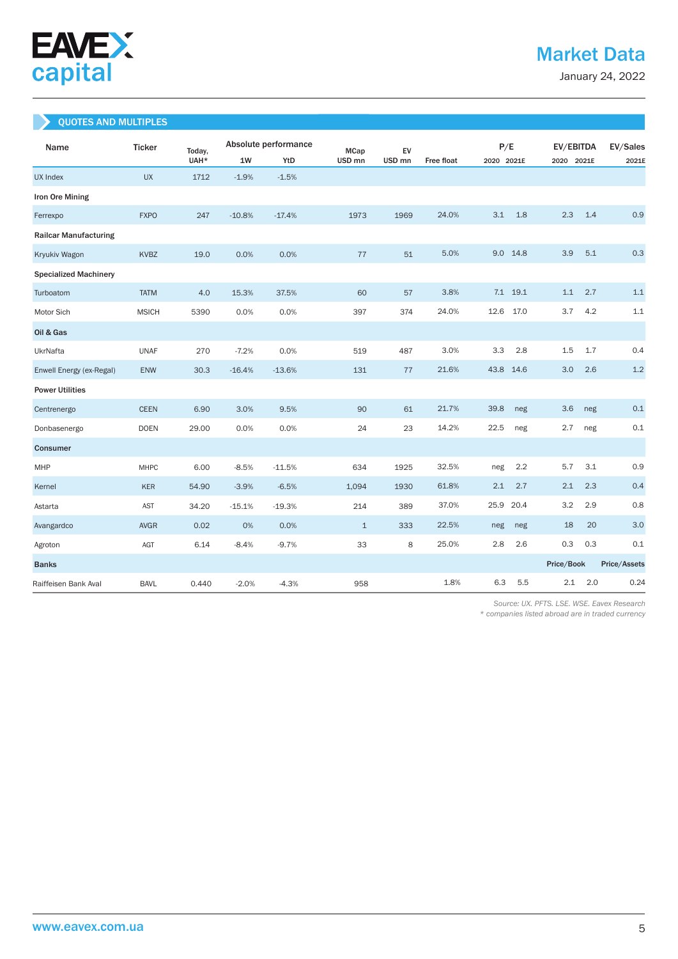

January 24, 2022

# QUOTES AND MULTIPLES

| Name                         | <b>Ticker</b> | Today, |          | Absolute performance | <b>MCap</b>       | EV                |                   | P/E        |          | EV/EBITDA  |     | EV/Sales     |
|------------------------------|---------------|--------|----------|----------------------|-------------------|-------------------|-------------------|------------|----------|------------|-----|--------------|
|                              |               | UAH*   | $1W$     | YtD                  | USD <sub>mn</sub> | USD <sub>mn</sub> | <b>Free float</b> | 2020 2021E |          | 2020 2021E |     | 2021E        |
| UX Index                     | <b>UX</b>     | 1712   | $-1.9%$  | $-1.5%$              |                   |                   |                   |            |          |            |     |              |
| Iron Ore Mining              |               |        |          |                      |                   |                   |                   |            |          |            |     |              |
| Ferrexpo                     | <b>FXPO</b>   | 247    | $-10.8%$ | $-17.4%$             | 1973              | 1969              | 24.0%             | 3.1        | 1.8      | 2.3        | 1.4 | 0.9          |
| <b>Railcar Manufacturing</b> |               |        |          |                      |                   |                   |                   |            |          |            |     |              |
| Kryukiv Wagon                | <b>KVBZ</b>   | 19.0   | 0.0%     | 0.0%                 | 77                | 51                | 5.0%              | 9.0 14.8   |          | 3.9        | 5.1 | 0.3          |
| <b>Specialized Machinery</b> |               |        |          |                      |                   |                   |                   |            |          |            |     |              |
| Turboatom                    | <b>TATM</b>   | 4.0    | 15.3%    | 37.5%                | 60                | 57                | 3.8%              |            | 7.1 19.1 | 1.1        | 2.7 | 1.1          |
| Motor Sich                   | <b>MSICH</b>  | 5390   | 0.0%     | 0.0%                 | 397               | 374               | 24.0%             | 12.6       | 17.0     | 3.7        | 4.2 | 1.1          |
| Oil & Gas                    |               |        |          |                      |                   |                   |                   |            |          |            |     |              |
| UkrNafta                     | <b>UNAF</b>   | 270    | $-7.2%$  | 0.0%                 | 519               | 487               | 3.0%              | 3.3        | 2.8      | 1.5        | 1.7 | 0.4          |
| Enwell Energy (ex-Regal)     | ENW           | 30.3   | $-16.4%$ | $-13.6%$             | 131               | 77                | 21.6%             | 43.8       | 14.6     | 3.0        | 2.6 | 1.2          |
| <b>Power Utilities</b>       |               |        |          |                      |                   |                   |                   |            |          |            |     |              |
| Centrenergo                  | <b>CEEN</b>   | 6.90   | 3.0%     | 9.5%                 | 90                | 61                | 21.7%             | 39.8       | neg      | 3.6        | neg | 0.1          |
| Donbasenergo                 | <b>DOEN</b>   | 29.00  | 0.0%     | 0.0%                 | 24                | 23                | 14.2%             | 22.5       | neg      | 2.7        | neg | 0.1          |
| Consumer                     |               |        |          |                      |                   |                   |                   |            |          |            |     |              |
| MHP                          | <b>MHPC</b>   | 6.00   | $-8.5%$  | $-11.5%$             | 634               | 1925              | 32.5%             | neg        | 2.2      | 5.7        | 3.1 | 0.9          |
| Kernel                       | KER           | 54.90  | $-3.9%$  | $-6.5%$              | 1,094             | 1930              | 61.8%             | 2.1        | 2.7      | 2.1        | 2.3 | 0.4          |
| Astarta                      | AST           | 34.20  | $-15.1%$ | $-19.3%$             | 214               | 389               | 37.0%             | 25.9       | 20.4     | 3.2        | 2.9 | 0.8          |
| Avangardco                   | <b>AVGR</b>   | 0.02   | 0%       | 0.0%                 | $\mathbf{1}$      | 333               | 22.5%             | neg        | neg      | 18         | 20  | 3.0          |
| Agroton                      | AGT           | 6.14   | $-8.4%$  | $-9.7%$              | 33                | 8                 | 25.0%             | 2.8        | 2.6      | 0.3        | 0.3 | 0.1          |
| <b>Banks</b>                 |               |        |          |                      |                   |                   |                   |            |          | Price/Book |     | Price/Assets |
| Raiffeisen Bank Aval         | <b>BAVL</b>   | 0.440  | $-2.0%$  | $-4.3%$              | 958               |                   | 1.8%              | 6.3        | 5.5      | 2.1        | 2.0 | 0.24         |

 *Source: UX. PFTS. LSE. WSE. Eavex Research* 

*\* companies listed abroad are in traded currency*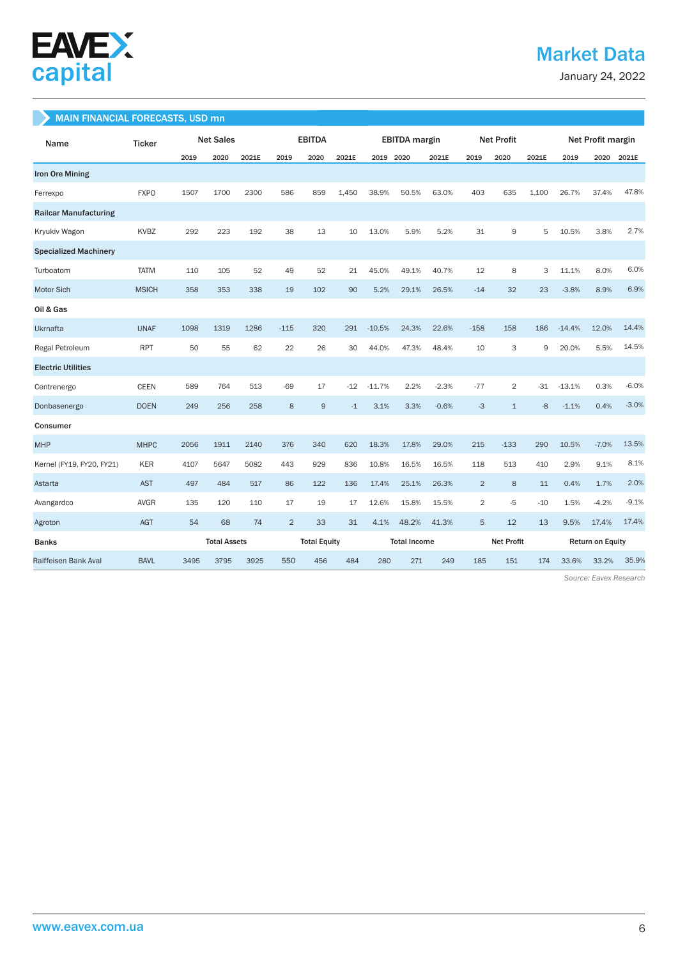

# Market Data

January 24, 2022

#### MAIN FINANCIAL FORECASTS, USD mn

| Name                         | <b>Ticker</b> |      | <b>Net Sales</b>    |       | <b>EBITDA</b>  |                     | <b>EBITDA</b> margin |           | <b>Net Profit</b>   |         |                   | Net Profit margin |       |                         |         |         |
|------------------------------|---------------|------|---------------------|-------|----------------|---------------------|----------------------|-----------|---------------------|---------|-------------------|-------------------|-------|-------------------------|---------|---------|
|                              |               | 2019 | 2020                | 2021E | 2019           | 2020                | 2021E                | 2019 2020 |                     | 2021E   | 2019              | 2020              | 2021E | 2019                    | 2020    | 2021E   |
| <b>Iron Ore Mining</b>       |               |      |                     |       |                |                     |                      |           |                     |         |                   |                   |       |                         |         |         |
| Ferrexpo                     | <b>FXPO</b>   | 1507 | 1700                | 2300  | 586            | 859                 | 1,450                | 38.9%     | 50.5%               | 63.0%   | 403               | 635               | 1,100 | 26.7%                   | 37.4%   | 47.8%   |
| <b>Railcar Manufacturing</b> |               |      |                     |       |                |                     |                      |           |                     |         |                   |                   |       |                         |         |         |
| Kryukiv Wagon                | KVBZ          | 292  | 223                 | 192   | 38             | 13                  | 10                   | 13.0%     | 5.9%                | 5.2%    | 31                | 9                 | 5     | 10.5%                   | 3.8%    | 2.7%    |
| <b>Specialized Machinery</b> |               |      |                     |       |                |                     |                      |           |                     |         |                   |                   |       |                         |         |         |
| Turboatom                    | <b>TATM</b>   | 110  | 105                 | 52    | 49             | 52                  | 21                   | 45.0%     | 49.1%               | 40.7%   | 12                | 8                 | 3     | 11.1%                   | 8.0%    | 6.0%    |
| <b>Motor Sich</b>            | <b>MSICH</b>  | 358  | 353                 | 338   | 19             | 102                 | 90                   | 5.2%      | 29.1%               | 26.5%   | $-14$             | 32                | 23    | $-3.8%$                 | 8.9%    | 6.9%    |
| Oil & Gas                    |               |      |                     |       |                |                     |                      |           |                     |         |                   |                   |       |                         |         |         |
| <b>Ukrnafta</b>              | <b>UNAF</b>   | 1098 | 1319                | 1286  | $-115$         | 320                 | 291                  | $-10.5%$  | 24.3%               | 22.6%   | $-158$            | 158               | 186   | $-14.4%$                | 12.0%   | 14.4%   |
| Regal Petroleum              | <b>RPT</b>    | 50   | 55                  | 62    | 22             | 26                  | 30                   | 44.0%     | 47.3%               | 48.4%   | 10                | 3                 | 9     | 20.0%                   | 5.5%    | 14.5%   |
| <b>Electric Utilities</b>    |               |      |                     |       |                |                     |                      |           |                     |         |                   |                   |       |                         |         |         |
| Centrenergo                  | <b>CEEN</b>   | 589  | 764                 | 513   | $-69$          | 17                  | $-12$                | $-11.7%$  | 2.2%                | $-2.3%$ | $-77$             | $\overline{2}$    | $-31$ | $-13.1%$                | 0.3%    | $-6.0%$ |
| Donbasenergo                 | <b>DOEN</b>   | 249  | 256                 | 258   | 8              | 9                   | $-1$                 | 3.1%      | 3.3%                | $-0.6%$ | $-3$              | $\mathbf{1}$      | $-8$  | $-1.1%$                 | 0.4%    | $-3.0%$ |
| Consumer                     |               |      |                     |       |                |                     |                      |           |                     |         |                   |                   |       |                         |         |         |
| <b>MHP</b>                   | <b>MHPC</b>   | 2056 | 1911                | 2140  | 376            | 340                 | 620                  | 18.3%     | 17.8%               | 29.0%   | 215               | $-133$            | 290   | 10.5%                   | $-7.0%$ | 13.5%   |
| Kernel (FY19, FY20, FY21)    | KER           | 4107 | 5647                | 5082  | 443            | 929                 | 836                  | 10.8%     | 16.5%               | 16.5%   | 118               | 513               | 410   | 2.9%                    | 9.1%    | 8.1%    |
| Astarta                      | <b>AST</b>    | 497  | 484                 | 517   | 86             | 122                 | 136                  | 17.4%     | 25.1%               | 26.3%   | $\overline{2}$    | 8                 | 11    | 0.4%                    | 1.7%    | 2.0%    |
| Avangardco                   | <b>AVGR</b>   | 135  | 120                 | 110   | 17             | 19                  | 17                   | 12.6%     | 15.8%               | 15.5%   | $\overline{2}$    | $-5$              | $-10$ | 1.5%                    | $-4.2%$ | $-9.1%$ |
| Agroton                      | <b>AGT</b>    | 54   | 68                  | 74    | $\overline{2}$ | 33                  | 31                   | 4.1%      | 48.2%               | 41.3%   | 5                 | 12                | 13    | 9.5%                    | 17.4%   | 17.4%   |
| <b>Banks</b>                 |               |      | <b>Total Assets</b> |       |                | <b>Total Equity</b> |                      |           | <b>Total Income</b> |         | <b>Net Profit</b> |                   |       | <b>Return on Equity</b> |         |         |
| Raiffeisen Bank Aval         | <b>BAVL</b>   | 3495 | 3795                | 3925  | 550            | 456                 | 484                  | 280       | 271                 | 249     | 185               | 151               | 174   | 33.6%                   | 33.2%   | 35.9%   |

 *Source: Eavex Research*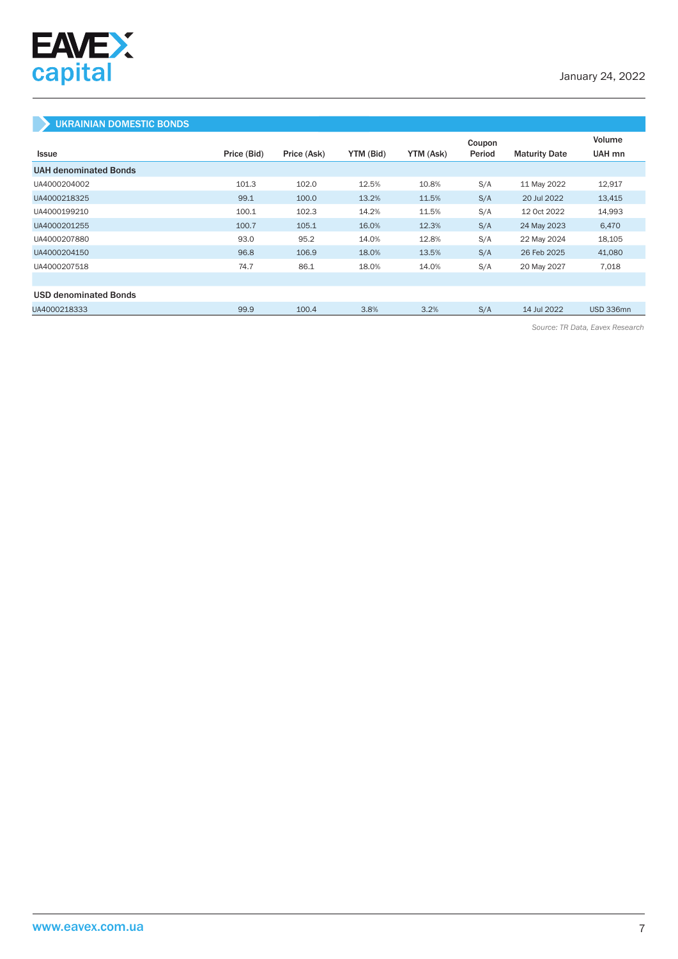

### UKRAINIAN DOMESTIC BONDS

|                              |             |             |           |           | Coupon |                      | Volume    |
|------------------------------|-------------|-------------|-----------|-----------|--------|----------------------|-----------|
| <b>Issue</b>                 | Price (Bid) | Price (Ask) | YTM (Bid) | YTM (Ask) | Period | <b>Maturity Date</b> | UAH mn    |
| <b>UAH denominated Bonds</b> |             |             |           |           |        |                      |           |
| UA4000204002                 | 101.3       | 102.0       | 12.5%     | 10.8%     | S/A    | 11 May 2022          | 12,917    |
| UA4000218325                 | 99.1        | 100.0       | 13.2%     | 11.5%     | S/A    | 20 Jul 2022          | 13,415    |
| UA4000199210                 | 100.1       | 102.3       | 14.2%     | 11.5%     | S/A    | 12 Oct 2022          | 14,993    |
| UA4000201255                 | 100.7       | 105.1       | 16.0%     | 12.3%     | S/A    | 24 May 2023          | 6,470     |
| UA4000207880                 | 93.0        | 95.2        | 14.0%     | 12.8%     | S/A    | 22 May 2024          | 18,105    |
| UA4000204150                 | 96.8        | 106.9       | 18.0%     | 13.5%     | S/A    | 26 Feb 2025          | 41,080    |
| UA4000207518                 | 74.7        | 86.1        | 18.0%     | 14.0%     | S/A    | 20 May 2027          | 7,018     |
|                              |             |             |           |           |        |                      |           |
| <b>USD denominated Bonds</b> |             |             |           |           |        |                      |           |
| UA4000218333                 | 99.9        | 100.4       | 3.8%      | 3.2%      | S/A    | 14 Jul 2022          | USD 336mn |

*Source: TR Data, Eavex Research*